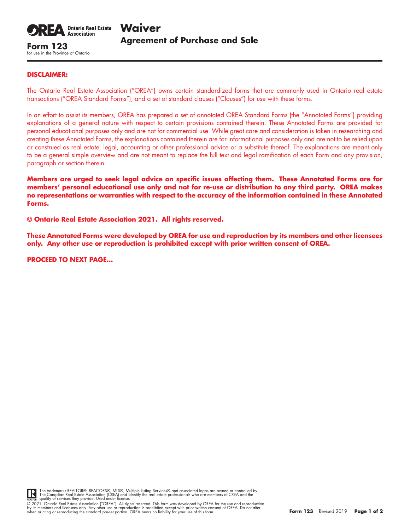

for use in the Province of Ontario

## **DISCLAIMER:**

The Ontario Real Estate Association ("OREA") owns certain standardized forms that are commonly used in Ontario real estate transactions ("OREA Standard Forms"), and a set of standard clauses ("Clauses") for use with these forms.

In an effort to assist its members, OREA has prepared a set of annotated OREA Standard Forms (the "Annotated Forms") providing explanations of a general nature with respect to certain provisions contained therein. These Annotated Forms are provided for personal educational purposes only and are not for commercial use. While great care and consideration is taken in researching and creating these Annotated Forms, the explanations contained therein are for informational purposes only and are not to be relied upon or construed as real estate, legal, accounting or other professional advice or a substitute thereof. The explanations are meant only to be a general simple overview and are not meant to replace the full text and legal ramification of each Form and any provision, paragraph or section therein.

**Members are urged to seek legal advice on specific issues affecting them. These Annotated Forms are for members' personal educational use only and not for re-use or distribution to any third party. OREA makes no representations or warranties with respect to the accuracy of the information contained in these Annotated Forms.**

**© Ontario Real Estate Association 2021. All rights reserved.** 

**These Annotated Forms were developed by OREA for use and reproduction by its members and other licensees only. Any other use or reproduction is prohibited except with prior written consent of OREA.**

**PROCEED TO NEXT PAGE…**



The trademarks REALTOR®, REALTORS®, MLS®, Multiple Listing Services® and associated logos are owned or controlled by<br>The Canadian Real Estate Association (CREA) and identify the real estate professionals who are members of